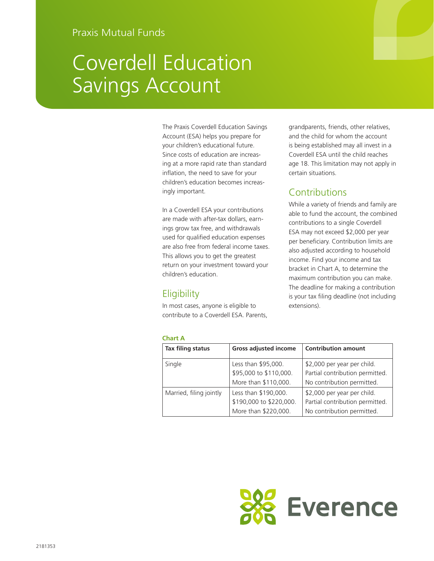# Coverdell Education Savings Account

The Praxis Coverdell Education Savings Account (ESA) helps you prepare for your children's educational future. Since costs of education are increasing at a more rapid rate than standard inflation, the need to save for your children's education becomes increasingly important.

In a Coverdell ESA your contributions are made with after-tax dollars, earnings grow tax free, and withdrawals used for qualified education expenses are also free from federal income taxes. This allows you to get the greatest return on your investment toward your children's education.

# **Eligibility**

In most cases, anyone is eligible to contribute to a Coverdell ESA. Parents,

grandparents, friends, other relatives, and the child for whom the account is being established may all invest in a Coverdell ESA until the child reaches age 18. This limitation may not apply in certain situations.

# **Contributions**

While a variety of friends and family are able to fund the account, the combined contributions to a single Coverdell ESA may not exceed \$2,000 per year per beneficiary. Contribution limits are also adjusted according to household income. Find your income and tax bracket in Chart A, to determine the maximum contribution you can make. The deadline for making a contribution is your tax filing deadline (not including extensions).

| <b>Chart A</b>          |                              |                                 |
|-------------------------|------------------------------|---------------------------------|
| Tax filing status       | <b>Gross adjusted income</b> | <b>Contribution amount</b>      |
| Single                  | Less than \$95,000.          | \$2,000 per year per child.     |
|                         | \$95,000 to \$110,000.       | Partial contribution permitted. |
|                         | More than \$110,000.         | No contribution permitted.      |
| Married, filing jointly | Less than \$190,000.         | \$2,000 per year per child.     |
|                         | \$190,000 to \$220,000.      | Partial contribution permitted. |
|                         | More than \$220,000.         | No contribution permitted.      |